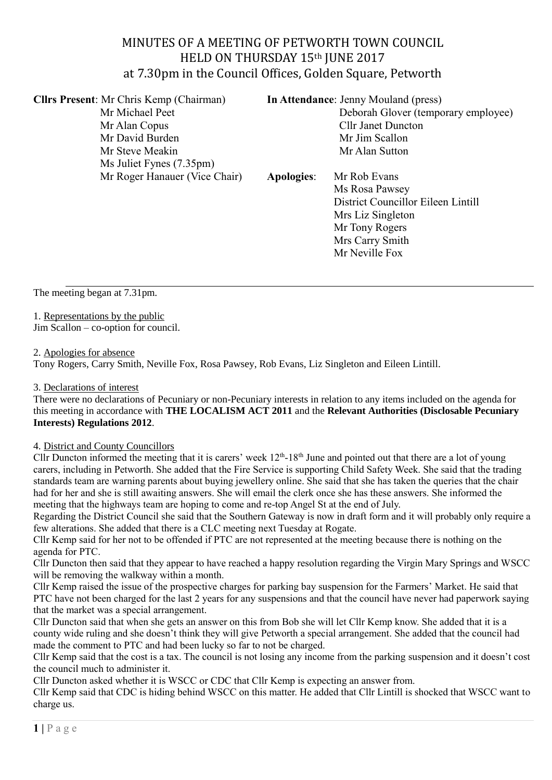# MINUTES OF A MEETING OF PETWORTH TOWN COUNCIL HELD ON THURSDAY 15th JUNE 2017 at 7.30pm in the Council Offices, Golden Square, Petworth

**Cllrs Present**: Mr Chris Kemp (Chairman) **In Attendance**: Jenny Mouland (press) Mr Michael Peet Deborah Glover (temporary employee) Mr Alan Copus Cllr Janet Duncton Mr David Burden Mr Jim Scallon Mr Steve Meakin Mr Alan Sutton Ms Juliet Fynes (7.35pm) Mr Roger Hanauer (Vice Chair) **Apologies**: Mr Rob Evans Ms Rosa Pawsey District Councillor Eileen Lintill Mrs Liz Singleton

> Mr Tony Rogers Mrs Carry Smith Mr Neville Fox

The meeting began at 7.31pm.

### 1. Representations by the public

Jim Scallon – co-option for council.

#### 2. Apologies for absence

Tony Rogers, Carry Smith, Neville Fox, Rosa Pawsey, Rob Evans, Liz Singleton and Eileen Lintill.

#### 3. Declarations of interest

There were no declarations of Pecuniary or non-Pecuniary interests in relation to any items included on the agenda for this meeting in accordance with **THE LOCALISM ACT 2011** and the **Relevant Authorities (Disclosable Pecuniary Interests) Regulations 2012**.

### 4. District and County Councillors

Cllr Duncton informed the meeting that it is carers' week  $12<sup>th</sup>$ -18<sup>th</sup> June and pointed out that there are a lot of young carers, including in Petworth. She added that the Fire Service is supporting Child Safety Week. She said that the trading standards team are warning parents about buying jewellery online. She said that she has taken the queries that the chair had for her and she is still awaiting answers. She will email the clerk once she has these answers. She informed the meeting that the highways team are hoping to come and re-top Angel St at the end of July.

Regarding the District Council she said that the Southern Gateway is now in draft form and it will probably only require a few alterations. She added that there is a CLC meeting next Tuesday at Rogate.

Cllr Kemp said for her not to be offended if PTC are not represented at the meeting because there is nothing on the agenda for PTC.

Cllr Duncton then said that they appear to have reached a happy resolution regarding the Virgin Mary Springs and WSCC will be removing the walkway within a month.

Cllr Kemp raised the issue of the prospective charges for parking bay suspension for the Farmers' Market. He said that PTC have not been charged for the last 2 years for any suspensions and that the council have never had paperwork saying that the market was a special arrangement.

Cllr Duncton said that when she gets an answer on this from Bob she will let Cllr Kemp know. She added that it is a county wide ruling and she doesn't think they will give Petworth a special arrangement. She added that the council had made the comment to PTC and had been lucky so far to not be charged.

Cllr Kemp said that the cost is a tax. The council is not losing any income from the parking suspension and it doesn't cost the council much to administer it.

Cllr Duncton asked whether it is WSCC or CDC that Cllr Kemp is expecting an answer from.

Cllr Kemp said that CDC is hiding behind WSCC on this matter. He added that Cllr Lintill is shocked that WSCC want to charge us.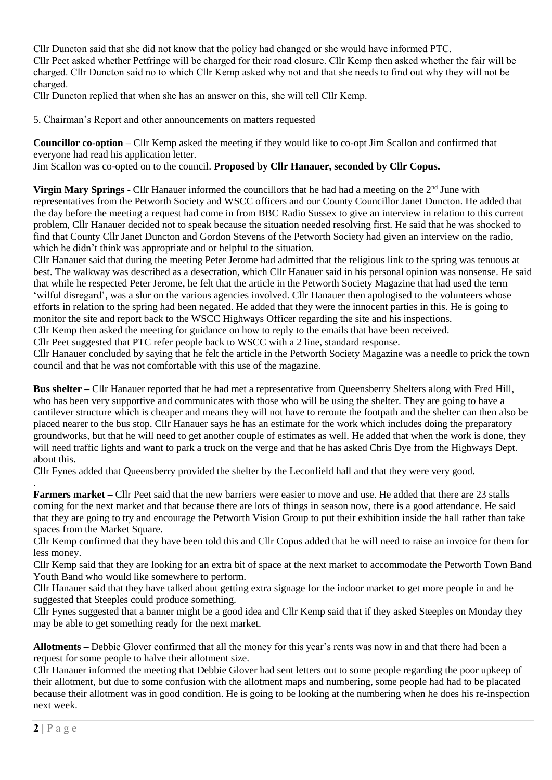Cllr Duncton said that she did not know that the policy had changed or she would have informed PTC. Cllr Peet asked whether Petfringe will be charged for their road closure. Cllr Kemp then asked whether the fair will be charged. Cllr Duncton said no to which Cllr Kemp asked why not and that she needs to find out why they will not be charged.

Cllr Duncton replied that when she has an answer on this, she will tell Cllr Kemp.

5. Chairman's Report and other announcements on matters requested

**Councillor co-option –** Cllr Kemp asked the meeting if they would like to co-opt Jim Scallon and confirmed that everyone had read his application letter.

Jim Scallon was co-opted on to the council. **Proposed by Cllr Hanauer, seconded by Cllr Copus.** 

**Virgin Mary Springs** - Cllr Hanauer informed the councillors that he had had a meeting on the  $2<sup>nd</sup>$  June with representatives from the Petworth Society and WSCC officers and our County Councillor Janet Duncton. He added that the day before the meeting a request had come in from BBC Radio Sussex to give an interview in relation to this current problem, Cllr Hanauer decided not to speak because the situation needed resolving first. He said that he was shocked to find that County Cllr Janet Duncton and Gordon Stevens of the Petworth Society had given an interview on the radio, which he didn't think was appropriate and or helpful to the situation.

Cllr Hanauer said that during the meeting Peter Jerome had admitted that the religious link to the spring was tenuous at best. The walkway was described as a desecration, which Cllr Hanauer said in his personal opinion was nonsense. He said that while he respected Peter Jerome, he felt that the article in the Petworth Society Magazine that had used the term 'wilful disregard', was a slur on the various agencies involved. Cllr Hanauer then apologised to the volunteers whose efforts in relation to the spring had been negated. He added that they were the innocent parties in this. He is going to monitor the site and report back to the WSCC Highways Officer regarding the site and his inspections.

Cllr Kemp then asked the meeting for guidance on how to reply to the emails that have been received.

Cllr Peet suggested that PTC refer people back to WSCC with a 2 line, standard response.

Cllr Hanauer concluded by saying that he felt the article in the Petworth Society Magazine was a needle to prick the town council and that he was not comfortable with this use of the magazine.

**Bus shelter –** Cllr Hanauer reported that he had met a representative from Queensberry Shelters along with Fred Hill, who has been very supportive and communicates with those who will be using the shelter. They are going to have a cantilever structure which is cheaper and means they will not have to reroute the footpath and the shelter can then also be placed nearer to the bus stop. Cllr Hanauer says he has an estimate for the work which includes doing the preparatory groundworks, but that he will need to get another couple of estimates as well. He added that when the work is done, they will need traffic lights and want to park a truck on the verge and that he has asked Chris Dye from the Highways Dept. about this.

Cllr Fynes added that Queensberry provided the shelter by the Leconfield hall and that they were very good.

**Farmers market** – Cllr Peet said that the new barriers were easier to move and use. He added that there are 23 stalls coming for the next market and that because there are lots of things in season now, there is a good attendance. He said that they are going to try and encourage the Petworth Vision Group to put their exhibition inside the hall rather than take spaces from the Market Square.

Cllr Kemp confirmed that they have been told this and Cllr Copus added that he will need to raise an invoice for them for less money.

Cllr Kemp said that they are looking for an extra bit of space at the next market to accommodate the Petworth Town Band Youth Band who would like somewhere to perform.

Cllr Hanauer said that they have talked about getting extra signage for the indoor market to get more people in and he suggested that Steeples could produce something.

Cllr Fynes suggested that a banner might be a good idea and Cllr Kemp said that if they asked Steeples on Monday they may be able to get something ready for the next market.

**Allotments –** Debbie Glover confirmed that all the money for this year's rents was now in and that there had been a request for some people to halve their allotment size.

Cllr Hanauer informed the meeting that Debbie Glover had sent letters out to some people regarding the poor upkeep of their allotment, but due to some confusion with the allotment maps and numbering, some people had had to be placated because their allotment was in good condition. He is going to be looking at the numbering when he does his re-inspection next week.

.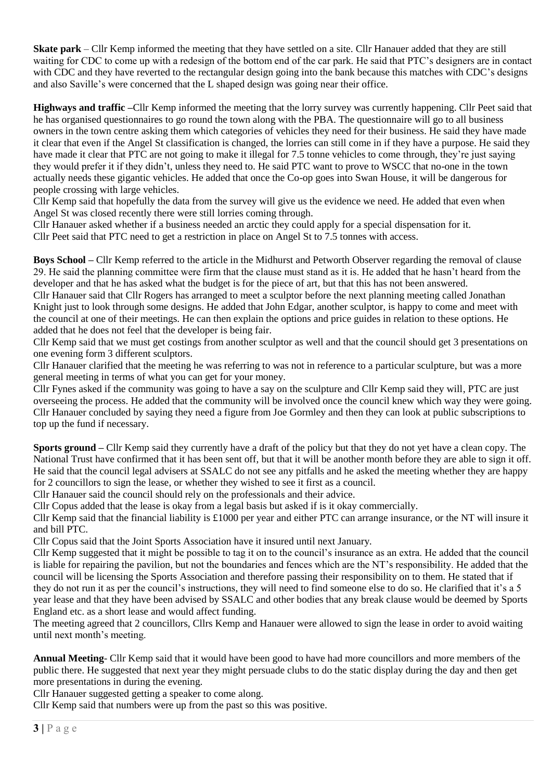**Skate park** – Cllr Kemp informed the meeting that they have settled on a site. Cllr Hanauer added that they are still waiting for CDC to come up with a redesign of the bottom end of the car park. He said that PTC's designers are in contact with CDC and they have reverted to the rectangular design going into the bank because this matches with CDC's designs and also Saville's were concerned that the L shaped design was going near their office.

**Highways and traffic –**Cllr Kemp informed the meeting that the lorry survey was currently happening. Cllr Peet said that he has organised questionnaires to go round the town along with the PBA. The questionnaire will go to all business owners in the town centre asking them which categories of vehicles they need for their business. He said they have made it clear that even if the Angel St classification is changed, the lorries can still come in if they have a purpose. He said they have made it clear that PTC are not going to make it illegal for 7.5 tonne vehicles to come through, they're just saying they would prefer it if they didn't, unless they need to. He said PTC want to prove to WSCC that no-one in the town actually needs these gigantic vehicles. He added that once the Co-op goes into Swan House, it will be dangerous for people crossing with large vehicles.

Cllr Kemp said that hopefully the data from the survey will give us the evidence we need. He added that even when Angel St was closed recently there were still lorries coming through.

Cllr Hanauer asked whether if a business needed an arctic they could apply for a special dispensation for it. Cllr Peet said that PTC need to get a restriction in place on Angel St to 7.5 tonnes with access.

**Boys School –** Cllr Kemp referred to the article in the Midhurst and Petworth Observer regarding the removal of clause 29. He said the planning committee were firm that the clause must stand as it is. He added that he hasn't heard from the developer and that he has asked what the budget is for the piece of art, but that this has not been answered.

Cllr Hanauer said that Cllr Rogers has arranged to meet a sculptor before the next planning meeting called Jonathan Knight just to look through some designs. He added that John Edgar, another sculptor, is happy to come and meet with the council at one of their meetings. He can then explain the options and price guides in relation to these options. He added that he does not feel that the developer is being fair.

Cllr Kemp said that we must get costings from another sculptor as well and that the council should get 3 presentations on one evening form 3 different sculptors.

Cllr Hanauer clarified that the meeting he was referring to was not in reference to a particular sculpture, but was a more general meeting in terms of what you can get for your money.

Cllr Fynes asked if the community was going to have a say on the sculpture and Cllr Kemp said they will, PTC are just overseeing the process. He added that the community will be involved once the council knew which way they were going. Cllr Hanauer concluded by saying they need a figure from Joe Gormley and then they can look at public subscriptions to top up the fund if necessary.

**Sports ground –** Cllr Kemp said they currently have a draft of the policy but that they do not yet have a clean copy. The National Trust have confirmed that it has been sent off, but that it will be another month before they are able to sign it off. He said that the council legal advisers at SSALC do not see any pitfalls and he asked the meeting whether they are happy for 2 councillors to sign the lease, or whether they wished to see it first as a council.

Cllr Hanauer said the council should rely on the professionals and their advice.

Cllr Copus added that the lease is okay from a legal basis but asked if is it okay commercially.

Cllr Kemp said that the financial liability is £1000 per year and either PTC can arrange insurance, or the NT will insure it and bill PTC.

Cllr Copus said that the Joint Sports Association have it insured until next January.

Cllr Kemp suggested that it might be possible to tag it on to the council's insurance as an extra. He added that the council is liable for repairing the pavilion, but not the boundaries and fences which are the NT's responsibility. He added that the council will be licensing the Sports Association and therefore passing their responsibility on to them. He stated that if they do not run it as per the council's instructions, they will need to find someone else to do so. He clarified that it's a 5 year lease and that they have been advised by SSALC and other bodies that any break clause would be deemed by Sports England etc. as a short lease and would affect funding.

The meeting agreed that 2 councillors, Cllrs Kemp and Hanauer were allowed to sign the lease in order to avoid waiting until next month's meeting.

**Annual Meeting**- Cllr Kemp said that it would have been good to have had more councillors and more members of the public there. He suggested that next year they might persuade clubs to do the static display during the day and then get more presentations in during the evening.

Cllr Hanauer suggested getting a speaker to come along.

Cllr Kemp said that numbers were up from the past so this was positive.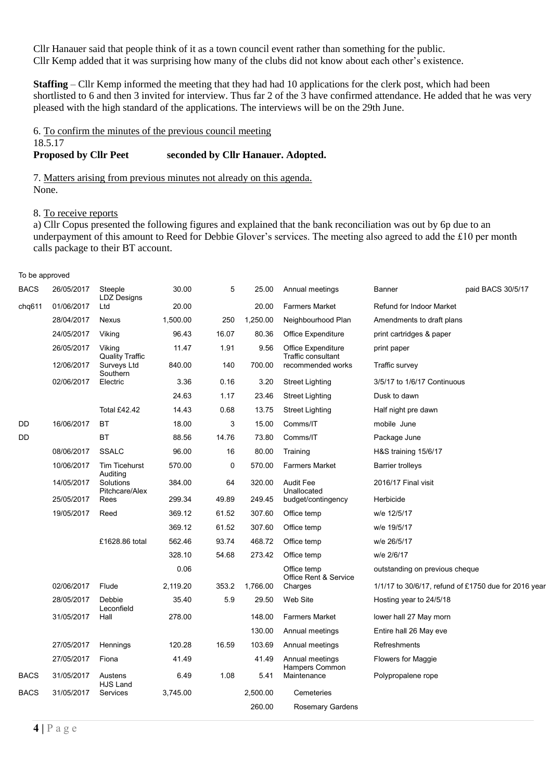Cllr Hanauer said that people think of it as a town council event rather than something for the public. Cllr Kemp added that it was surprising how many of the clubs did not know about each other's existence.

**Staffing** – Cllr Kemp informed the meeting that they had had 10 applications for the clerk post, which had been shortlisted to 6 and then 3 invited for interview. Thus far 2 of the 3 have confirmed attendance. He added that he was very pleased with the high standard of the applications. The interviews will be on the 29th June.

#### 6. To confirm the minutes of the previous council meeting 18.5.17

### **Proposed by Cllr Peet seconded by Cllr Hanauer. Adopted.**

7. Matters arising from previous minutes not already on this agenda. None.

#### 8. To receive reports

To be approved

a) Cllr Copus presented the following figures and explained that the bank reconciliation was out by 6p due to an underpayment of this amount to Reed for Debbie Glover's services. The meeting also agreed to add the £10 per month calls package to their BT account.

| <b>I'D DU UPPIUTUU</b> |            |                                                   |          |       |          |                                         |                                |                                                      |
|------------------------|------------|---------------------------------------------------|----------|-------|----------|-----------------------------------------|--------------------------------|------------------------------------------------------|
| <b>BACS</b>            | 26/05/2017 | Steeple<br><b>LDZ Designs</b>                     | 30.00    | 5     | 25.00    | Annual meetings                         | <b>Banner</b>                  | paid BACS 30/5/17                                    |
| chq611                 | 01/06/2017 | Ltd                                               | 20.00    |       | 20.00    | <b>Farmers Market</b>                   | Refund for Indoor Market       |                                                      |
|                        | 28/04/2017 | <b>Nexus</b>                                      | 1,500.00 | 250   | 1,250.00 | Neighbourhood Plan                      | Amendments to draft plans      |                                                      |
|                        | 24/05/2017 | Viking                                            | 96.43    | 16.07 | 80.36    | Office Expenditure                      | print cartridges & paper       |                                                      |
|                        | 26/05/2017 | Viking                                            | 11.47    | 1.91  | 9.56     | Office Expenditure                      | print paper                    |                                                      |
|                        | 12/06/2017 | <b>Quality Traffic</b><br>Surveys Ltd<br>Southern | 840.00   | 140   | 700.00   | Traffic consultant<br>recommended works | Traffic survey                 |                                                      |
|                        | 02/06/2017 | Electric                                          | 3.36     | 0.16  | 3.20     | <b>Street Lighting</b>                  | 3/5/17 to 1/6/17 Continuous    |                                                      |
|                        |            |                                                   | 24.63    | 1.17  | 23.46    | <b>Street Lighting</b>                  | Dusk to dawn                   |                                                      |
|                        |            | <b>Total £42.42</b>                               | 14.43    | 0.68  | 13.75    | <b>Street Lighting</b>                  | Half night pre dawn            |                                                      |
| DD                     | 16/06/2017 | BT                                                | 18.00    | 3     | 15.00    | Comms/IT                                | mobile June                    |                                                      |
| DD                     |            | <b>BT</b>                                         | 88.56    | 14.76 | 73.80    | Comms/IT                                | Package June                   |                                                      |
|                        | 08/06/2017 | <b>SSALC</b>                                      | 96.00    | 16    | 80.00    | Training                                | H&S training 15/6/17           |                                                      |
|                        | 10/06/2017 | <b>Tim Ticehurst</b>                              | 570.00   | 0     | 570.00   | <b>Farmers Market</b>                   | <b>Barrier trolleys</b>        |                                                      |
|                        | 14/05/2017 | Auditing<br>Solutions<br>Pitchcare/Alex           | 384.00   | 64    | 320.00   | <b>Audit Fee</b><br>Unallocated         | 2016/17 Final visit            |                                                      |
|                        | 25/05/2017 | Rees                                              | 299.34   | 49.89 | 249.45   | budget/contingency                      | Herbicide                      |                                                      |
|                        | 19/05/2017 | Reed                                              | 369.12   | 61.52 | 307.60   | Office temp                             | w/e 12/5/17                    |                                                      |
|                        |            |                                                   | 369.12   | 61.52 | 307.60   | Office temp                             | w/e 19/5/17                    |                                                      |
|                        |            | £1628.86 total                                    | 562.46   | 93.74 | 468.72   | Office temp                             | w/e 26/5/17                    |                                                      |
|                        |            |                                                   | 328.10   | 54.68 | 273.42   | Office temp                             | w/e 2/6/17                     |                                                      |
|                        |            |                                                   | 0.06     |       |          | Office temp<br>Office Rent & Service    | outstanding on previous cheque |                                                      |
|                        | 02/06/2017 | Flude                                             | 2,119.20 | 353.2 | 1,766.00 | Charges                                 |                                | 1/1/17 to 30/6/17, refund of £1750 due for 2016 year |
|                        | 28/05/2017 | Debbie                                            | 35.40    | 5.9   | 29.50    | Web Site                                | Hosting year to 24/5/18        |                                                      |
|                        | 31/05/2017 | Leconfield<br>Hall                                | 278.00   |       | 148.00   | <b>Farmers Market</b>                   | lower hall 27 May morn         |                                                      |
|                        |            |                                                   |          |       | 130.00   | Annual meetings                         | Entire hall 26 May eve         |                                                      |
|                        | 27/05/2017 | Hennings                                          | 120.28   | 16.59 | 103.69   | Annual meetings                         | Refreshments                   |                                                      |
|                        | 27/05/2017 | Fiona                                             | 41.49    |       | 41.49    | Annual meetings<br>Hampers Common       | Flowers for Maggie             |                                                      |
| <b>BACS</b>            | 31/05/2017 | Austens<br>HJS Land                               | 6.49     | 1.08  | 5.41     | Maintenance                             | Polypropalene rope             |                                                      |
| <b>BACS</b>            | 31/05/2017 | Services                                          | 3,745.00 |       | 2.500.00 | Cemeteries                              |                                |                                                      |
|                        |            |                                                   |          |       | 260.00   | Rosemary Gardens                        |                                |                                                      |
|                        |            |                                                   |          |       |          |                                         |                                |                                                      |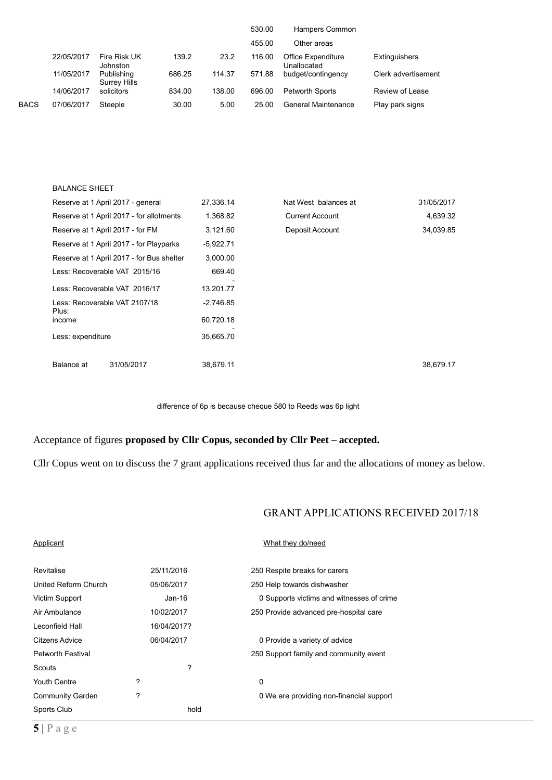|             |            |                                   |        |        | 530.00 | Hampers Common                    |                     |
|-------------|------------|-----------------------------------|--------|--------|--------|-----------------------------------|---------------------|
|             |            |                                   |        |        | 455.00 | Other areas                       |                     |
|             | 22/05/2017 | Fire Risk UK<br><b>Johnston</b>   | 139.2  | 23.2   | 116.00 | Office Expenditure<br>Unallocated | Extinguishers       |
|             | 11/05/2017 | Publishing<br><b>Surrey Hills</b> | 686.25 | 114.37 | 571.88 | budget/contingency                | Clerk advertisement |
|             | 14/06/2017 | solicitors                        | 834.00 | 138.00 | 696.00 | <b>Petworth Sports</b>            | Review of Lease     |
| <b>BACS</b> | 07/06/2017 | Steeple                           | 30.00  | 5.00   | 25.00  | <b>General Maintenance</b>        | Play park signs     |

| <b>BALANCE SHEET</b>                             |                                           |             |                        |            |
|--------------------------------------------------|-------------------------------------------|-------------|------------------------|------------|
| Reserve at 1 April 2017 - general                |                                           | 27,336.14   | Nat West balances at   | 31/05/2017 |
|                                                  | Reserve at 1 April 2017 - for allotments  | 1,368.82    | <b>Current Account</b> | 4,639.32   |
| Reserve at 1 April 2017 - for FM                 |                                           | 3,121.60    | Deposit Account        | 34,039.85  |
|                                                  | Reserve at 1 April 2017 - for Playparks   | $-5,922.71$ |                        |            |
|                                                  | Reserve at 1 April 2017 - for Bus shelter | 3,000.00    |                        |            |
| Less: Recoverable VAT 2015/16                    |                                           | 669.40      |                        |            |
| Less: Recoverable VAT 2016/17                    |                                           | 13,201.77   |                        |            |
| Less: Recoverable VAT 2107/18<br>Plus:<br>income |                                           | $-2.746.85$ |                        |            |
|                                                  |                                           | 60,720.18   |                        |            |
| Less: expenditure                                |                                           | 35,665.70   |                        |            |
|                                                  |                                           |             |                        |            |
| Balance at                                       | 31/05/2017                                | 38,679.11   |                        | 38,679.17  |

difference of 6p is because cheque 580 to Reeds was 6p light

## Acceptance of figures **proposed by Cllr Copus, seconded by Cllr Peet – accepted.**

Cllr Copus went on to discuss the 7 grant applications received thus far and the allocations of money as below.

# GRANT APPLICATIONS RECEIVED 2017/18

| Applicant                |             | What they do/need                         |
|--------------------------|-------------|-------------------------------------------|
| Revitalise               | 25/11/2016  | 250 Respite breaks for carers             |
| United Reform Church     | 05/06/2017  | 250 Help towards dishwasher               |
| Victim Support           | Jan-16      | 0 Supports victims and witnesses of crime |
| Air Ambulance            | 10/02/2017  | 250 Provide advanced pre-hospital care    |
| Leconfield Hall          | 16/04/2017? |                                           |
| Citzens Advice           | 06/04/2017  | 0 Provide a variety of advice             |
| <b>Petworth Festival</b> |             | 250 Support family and community event    |
| Scouts                   | ?           |                                           |
| Youth Centre             | ?           | 0                                         |
| <b>Community Garden</b>  | ?           | 0 We are providing non-financial support  |
| Sports Club              | hold        |                                           |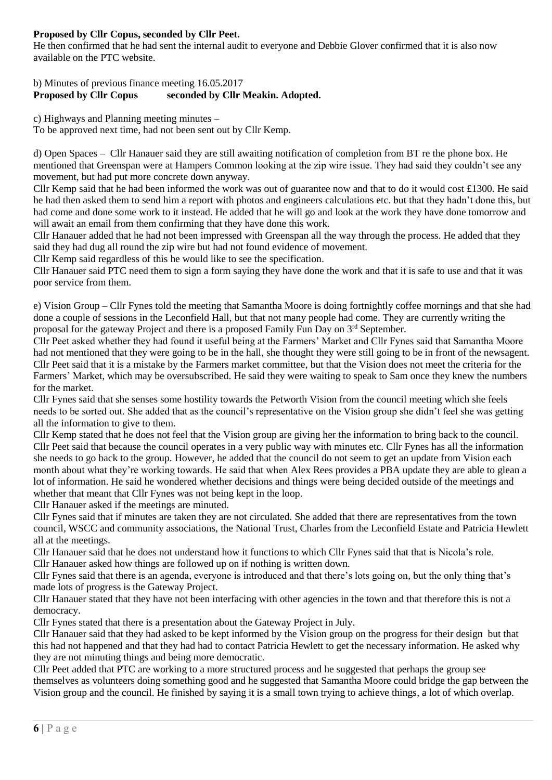# **Proposed by Cllr Copus, seconded by Cllr Peet.**

He then confirmed that he had sent the internal audit to everyone and Debbie Glover confirmed that it is also now available on the PTC website.

## b) Minutes of previous finance meeting 16.05.2017 **Proposed by Cllr Copus seconded by Cllr Meakin. Adopted.**

c) Highways and Planning meeting minutes –

To be approved next time, had not been sent out by Cllr Kemp.

d) Open Spaces – Cllr Hanauer said they are still awaiting notification of completion from BT re the phone box. He mentioned that Greenspan were at Hampers Common looking at the zip wire issue. They had said they couldn't see any movement, but had put more concrete down anyway.

Cllr Kemp said that he had been informed the work was out of guarantee now and that to do it would cost £1300. He said he had then asked them to send him a report with photos and engineers calculations etc. but that they hadn't done this, but had come and done some work to it instead. He added that he will go and look at the work they have done tomorrow and will await an email from them confirming that they have done this work.

Cllr Hanauer added that he had not been impressed with Greenspan all the way through the process. He added that they said they had dug all round the zip wire but had not found evidence of movement.

Cllr Kemp said regardless of this he would like to see the specification.

Cllr Hanauer said PTC need them to sign a form saying they have done the work and that it is safe to use and that it was poor service from them.

e) Vision Group – Cllr Fynes told the meeting that Samantha Moore is doing fortnightly coffee mornings and that she had done a couple of sessions in the Leconfield Hall, but that not many people had come. They are currently writing the proposal for the gateway Project and there is a proposed Family Fun Day on 3rd September.

Cllr Peet asked whether they had found it useful being at the Farmers' Market and Cllr Fynes said that Samantha Moore had not mentioned that they were going to be in the hall, she thought they were still going to be in front of the newsagent. Cllr Peet said that it is a mistake by the Farmers market committee, but that the Vision does not meet the criteria for the Farmers' Market, which may be oversubscribed. He said they were waiting to speak to Sam once they knew the numbers for the market.

Cllr Fynes said that she senses some hostility towards the Petworth Vision from the council meeting which she feels needs to be sorted out. She added that as the council's representative on the Vision group she didn't feel she was getting all the information to give to them.

Cllr Kemp stated that he does not feel that the Vision group are giving her the information to bring back to the council. Cllr Peet said that because the council operates in a very public way with minutes etc. Cllr Fynes has all the information she needs to go back to the group. However, he added that the council do not seem to get an update from Vision each month about what they're working towards. He said that when Alex Rees provides a PBA update they are able to glean a lot of information. He said he wondered whether decisions and things were being decided outside of the meetings and whether that meant that Cllr Fynes was not being kept in the loop.

Cllr Hanauer asked if the meetings are minuted.

Cllr Fynes said that if minutes are taken they are not circulated. She added that there are representatives from the town council, WSCC and community associations, the National Trust, Charles from the Leconfield Estate and Patricia Hewlett all at the meetings.

Cllr Hanauer said that he does not understand how it functions to which Cllr Fynes said that that is Nicola's role. Cllr Hanauer asked how things are followed up on if nothing is written down.

Cllr Fynes said that there is an agenda, everyone is introduced and that there's lots going on, but the only thing that's made lots of progress is the Gateway Project.

Cllr Hanauer stated that they have not been interfacing with other agencies in the town and that therefore this is not a democracy.

Cllr Fynes stated that there is a presentation about the Gateway Project in July.

Cllr Hanauer said that they had asked to be kept informed by the Vision group on the progress for their design but that this had not happened and that they had had to contact Patricia Hewlett to get the necessary information. He asked why they are not minuting things and being more democratic.

Cllr Peet added that PTC are working to a more structured process and he suggested that perhaps the group see themselves as volunteers doing something good and he suggested that Samantha Moore could bridge the gap between the Vision group and the council. He finished by saying it is a small town trying to achieve things, a lot of which overlap.